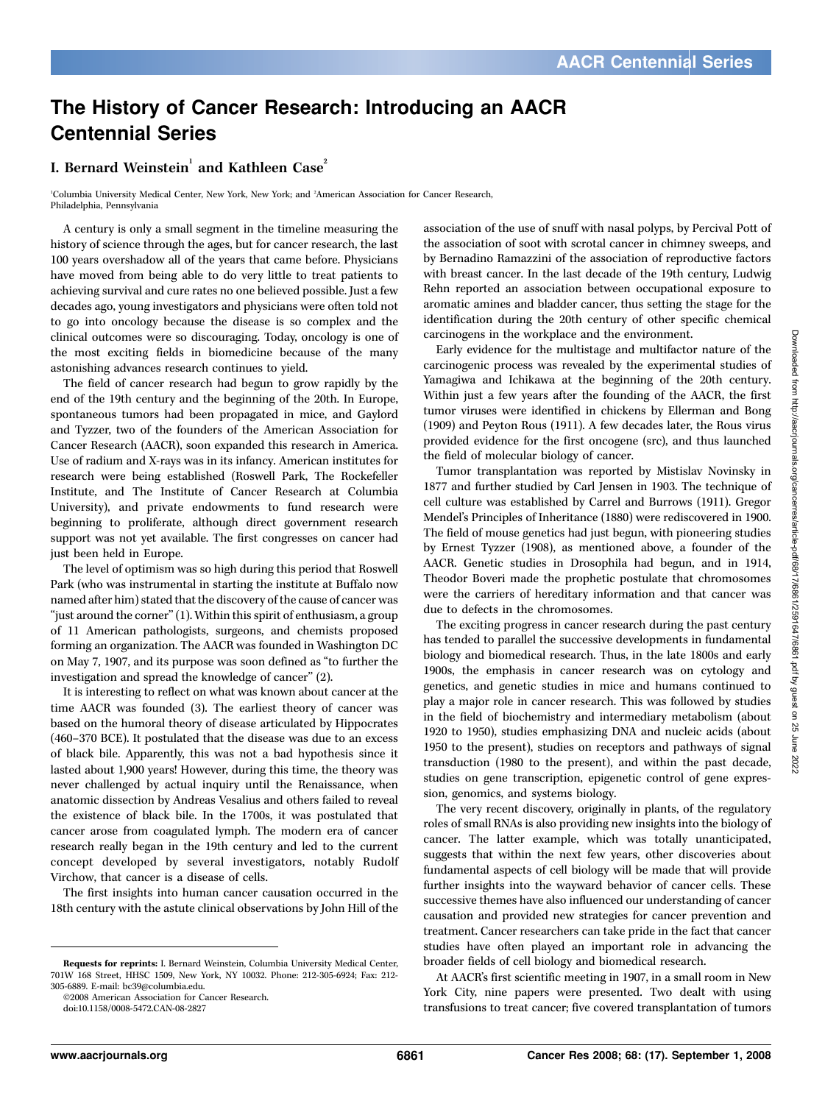## The History of Cancer Research: Introducing an AACR Centennial Series

## I. Bernard Weinstein $^{\rm l}$  and Kathleen Case $^{\rm 2}$

1 Columbia University Medical Center, New York, New York; and <sup>2</sup> American Association for Cancer Research, Philadelphia, Pennsylvania

A century is only a small segment in the timeline measuring the history of science through the ages, but for cancer research, the last 100 years overshadow all of the years that came before. Physicians have moved from being able to do very little to treat patients to achieving survival and cure rates no one believed possible. Just a few decades ago, young investigators and physicians were often told not to go into oncology because the disease is so complex and the clinical outcomes were so discouraging. Today, oncology is one of the most exciting fields in biomedicine because of the many astonishing advances research continues to yield.

The field of cancer research had begun to grow rapidly by the end of the 19th century and the beginning of the 20th. In Europe, spontaneous tumors had been propagated in mice, and Gaylord and Tyzzer, two of the founders of the American Association for Cancer Research (AACR), soon expanded this research in America. Use of radium and X-rays was in its infancy. American institutes for research were being established (Roswell Park, The Rockefeller Institute, and The Institute of Cancer Research at Columbia University), and private endowments to fund research were beginning to proliferate, although direct government research support was not yet available. The first congresses on cancer had just been held in Europe.

The level of optimism was so high during this period that Roswell Park (who was instrumental in starting the institute at Buffalo now named after him) stated that the discovery of the cause of cancer was "just around the corner" (1). Within this spirit of enthusiasm, a group of 11 American pathologists, surgeons, and chemists proposed forming an organization. The AACR was founded in Washington DC on May 7, 1907, and its purpose was soon defined as ''to further the investigation and spread the knowledge of cancer'' (2).

It is interesting to reflect on what was known about cancer at the time AACR was founded (3). The earliest theory of cancer was based on the humoral theory of disease articulated by Hippocrates (460–370 BCE). It postulated that the disease was due to an excess of black bile. Apparently, this was not a bad hypothesis since it lasted about 1,900 years! However, during this time, the theory was never challenged by actual inquiry until the Renaissance, when anatomic dissection by Andreas Vesalius and others failed to reveal the existence of black bile. In the 1700s, it was postulated that cancer arose from coagulated lymph. The modern era of cancer research really began in the 19th century and led to the current concept developed by several investigators, notably Rudolf Virchow, that cancer is a disease of cells.

The first insights into human cancer causation occurred in the 18th century with the astute clinical observations by John Hill of the

©2008 American Association for Cancer Research.

doi:10.1158/0008-5472.CAN-08-2827

association of the use of snuff with nasal polyps, by Percival Pott of the association of soot with scrotal cancer in chimney sweeps, and by Bernadino Ramazzini of the association of reproductive factors with breast cancer. In the last decade of the 19th century, Ludwig Rehn reported an association between occupational exposure to aromatic amines and bladder cancer, thus setting the stage for the identification during the 20th century of other specific chemical carcinogens in the workplace and the environment.

Early evidence for the multistage and multifactor nature of the carcinogenic process was revealed by the experimental studies of Yamagiwa and Ichikawa at the beginning of the 20th century. Within just a few years after the founding of the AACR, the first tumor viruses were identified in chickens by Ellerman and Bong (1909) and Peyton Rous (1911). A few decades later, the Rous virus provided evidence for the first oncogene (src), and thus launched the field of molecular biology of cancer.

Tumor transplantation was reported by Mistislav Novinsky in 1877 and further studied by Carl Jensen in 1903. The technique of cell culture was established by Carrel and Burrows (1911). Gregor Mendel's Principles of Inheritance (1880) were rediscovered in 1900. The field of mouse genetics had just begun, with pioneering studies by Ernest Tyzzer (1908), as mentioned above, a founder of the AACR. Genetic studies in Drosophila had begun, and in 1914, Theodor Boveri made the prophetic postulate that chromosomes were the carriers of hereditary information and that cancer was due to defects in the chromosomes.

The exciting progress in cancer research during the past century has tended to parallel the successive developments in fundamental biology and biomedical research. Thus, in the late 1800s and early 1900s, the emphasis in cancer research was on cytology and genetics, and genetic studies in mice and humans continued to play a major role in cancer research. This was followed by studies in the field of biochemistry and intermediary metabolism (about 1920 to 1950), studies emphasizing DNA and nucleic acids (about 1950 to the present), studies on receptors and pathways of signal transduction (1980 to the present), and within the past decade, studies on gene transcription, epigenetic control of gene expression, genomics, and systems biology.

The very recent discovery, originally in plants, of the regulatory roles of small RNAs is also providing new insights into the biology of cancer. The latter example, which was totally unanticipated, suggests that within the next few years, other discoveries about fundamental aspects of cell biology will be made that will provide further insights into the wayward behavior of cancer cells. These successive themes have also influenced our understanding of cancer causation and provided new strategies for cancer prevention and treatment. Cancer researchers can take pride in the fact that cancer studies have often played an important role in advancing the broader fields of cell biology and biomedical research.

At AACR's first scientific meeting in 1907, in a small room in New York City, nine papers were presented. Two dealt with using transfusions to treat cancer; five covered transplantation of tumors

Requests for reprints: I. Bernard Weinstein, Columbia University Medical Center, 701W 168 Street, HHSC 1509, New York, NY 10032. Phone: 212-305-6924; Fax: 212- 305-6889. E-mail: bc39@columbia.edu.